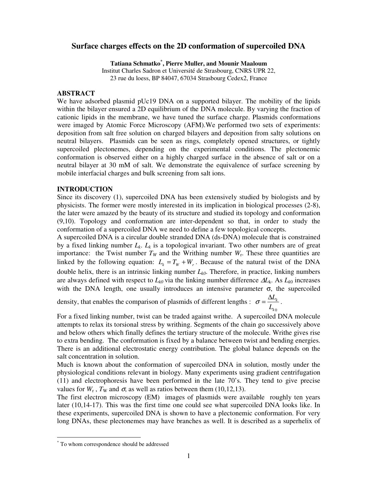# **Surface charges effects on the 2D conformation of supercoiled DNA**

**Tatiana Schmatko\* , Pierre Muller, and Mounir Maaloum** 

Institut Charles Sadron et Université de Strasbourg, CNRS UPR 22, 23 rue du loess, BP 84047, 67034 Strasbourg Cedex2, France

## **ABSTRACT**

We have adsorbed plasmid pUc19 DNA on a supported bilayer. The mobility of the lipids within the bilayer ensured a 2D equilibrium of the DNA molecule. By varying the fraction of cationic lipids in the membrane, we have tuned the surface charge. Plasmids conformations were imaged by Atomic Force Microscopy (AFM).We performed two sets of experiments: deposition from salt free solution on charged bilayers and deposition from salty solutions on neutral bilayers. Plasmids can be seen as rings, completely opened structures, or tightly supercoiled plectonemes, depending on the experimental conditions. The plectonemic conformation is observed either on a highly charged surface in the absence of salt or on a neutral bilayer at 30 mM of salt. We demonstrate the equivalence of surface screening by mobile interfacial charges and bulk screening from salt ions.

### **INTRODUCTION**

Since its discovery (1), supercoiled DNA has been extensively studied by biologists and by physicists. The former were mostly interested in its implication in biological processes (2-8), the later were amazed by the beauty of its structure and studied its topology and conformation (9,10). Topology and conformation are inter-dependent so that, in order to study the conformation of a supercoiled DNA we need to define a few topological concepts.

A supercoiled DNA is a circular double stranded DNA (ds-DNA) molecule that is constrained by a fixed linking number  $L_k$ .  $L_k$  is a topological invariant. Two other numbers are of great importance: the Twist number  $T_W$  and the Writhing number  $W_r$ . These three quantities are linked by the following equation:  $L_k = T_w + W_r$ . Because of the natural twist of the DNA double helix, there is an intrinsic linking number *Lk0*. Therefore, in practice, linking numbers are always defined with respect to *Lk0* via the linking number difference ∆*L*k. As *Lk*<sup>0</sup> increases with the DNA length, one usually introduces an intensive parameter  $\sigma$ , the supercoiled

density, that enables the comparison of plasmids of different lengths : *k* 0 *k L*  $\sigma = \frac{\Delta L_k}{I}$ .

For a fixed linking number, twist can be traded against writhe. A supercoiled DNA molecule attempts to relax its torsional stress by writhing. Segments of the chain go successively above and below others which finally defines the tertiary structure of the molecule. Writhe gives rise to extra bending. The conformation is fixed by a balance between twist and bending energies. There is an additional electrostatic energy contribution. The global balance depends on the salt concentration in solution.

Much is known about the conformation of supercoiled DNA in solution, mostly under the physiological conditions relevant in biology. Many experiments using gradient centrifugation (11) and electrophoresis have been performed in the late 70's. They tend to give precise values for  $W_r$ ,  $T_w$  and  $\sigma$ , as well as ratios between them (10,12,13).

The first electron microscopy (EM) images of plasmids were available roughly ten years later (10,14-17). This was the first time one could see what supercoiled DNA looks like. In these experiments, supercoiled DNA is shown to have a plectonemic conformation. For very long DNAs, these plectonemes may have branches as well. It is described as a superhelix of

-

<sup>\*</sup> To whom correspondence should be addressed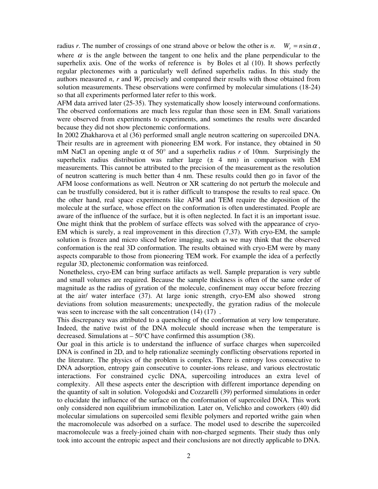radius *r*. The number of crossings of one strand above or below the other is *n*.  $W_r = n \sin \alpha$ , where  $\alpha$  is the angle between the tangent to one helix and the plane perpendicular to the superhelix axis. One of the works of reference is by Boles et al (10). It shows perfectly regular plectonemes with a particularly well defined superhelix radius. In this study the authors measured *n*, *r* and  $W_r$  precisely and compared their results with those obtained from solution measurements. These observations were confirmed by molecular simulations (18-24) so that all experiments performed later refer to this work.

AFM data arrived later (25-35). They systematically show loosely interwound conformations. The observed conformations are much less regular than those seen in EM. Small variations were observed from experiments to experiments, and sometimes the results were discarded because they did not show plectonemic conformations.

In 2002 Zhakharova et al (36) performed small angle neutron scattering on supercoiled DNA. Their results are in agreement with pioneering EM work. For instance, they obtained in 50 mM NaCl an opening angle α of 50° and a superhelix radius *r* of 10nm. Surprisingly the superhelix radius distribution was rather large  $(± 4 nm)$  in comparison with EM measurements. This cannot be attributed to the precision of the measurement as the resolution of neutron scattering is much better than 4 nm. These results could then go in favor of the AFM loose conformations as well. Neutron or XR scattering do not perturb the molecule and can be trustfully considered, but it is rather difficult to transpose the results to real space. On the other hand, real space experiments like AFM and TEM require the deposition of the molecule at the surface, whose effect on the conformation is often underestimated. People are aware of the influence of the surface, but it is often neglected. In fact it is an important issue. One might think that the problem of surface effects was solved with the appearance of cryo-EM which is surely, a real improvement in this direction (7,37). With cryo-EM, the sample solution is frozen and micro sliced before imaging, such as we may think that the observed conformation is the real 3D conformation. The results obtained with cryo-EM were by many aspects comparable to those from pioneering TEM work. For example the idea of a perfectly regular 3D, plectonemic conformation was reinforced.

 Nonetheless, cryo-EM can bring surface artifacts as well. Sample preparation is very subtle and small volumes are required. Because the sample thickness is often of the same order of magnitude as the radius of gyration of the molecule, confinement may occur before freezing at the air/ water interface (37). At large ionic strength, cryo-EM also showed strong deviations from solution measurements; unexpectedly, the gyration radius of the molecule was seen to increase with the salt concentration  $(14)$   $(17)$ .

This discrepancy was attributed to a quenching of the conformation at very low temperature. Indeed, the native twist of the DNA molecule should increase when the temperature is decreased. Simulations at  $-50^{\circ}$ C have confirmed this assumption (38).

Our goal in this article is to understand the influence of surface charges when supercoiled DNA is confined in 2D, and to help rationalize seemingly conflicting observations reported in the literature. The physics of the problem is complex. There is entropy loss consecutive to DNA adsorption, entropy gain consecutive to counter-ions release, and various electrostatic interactions. For constrained cyclic DNA, supercoiling introduces an extra level of complexity. All these aspects enter the description with different importance depending on the quantity of salt in solution. Vologodski and Cozzarelli (39) performed simulations in order to elucidate the influence of the surface on the conformation of supercoiled DNA. This work only considered non equilibrium immobilization*.* Later on, Velichko and coworkers (40) did molecular simulations on supercoiled semi flexible polymers and reported writhe gain when the macromolecule was adsorbed on a surface. The model used to describe the supercoiled macromolecule was a freely-joined chain with non-charged segments. Their study thus only took into account the entropic aspect and their conclusions are not directly applicable to DNA.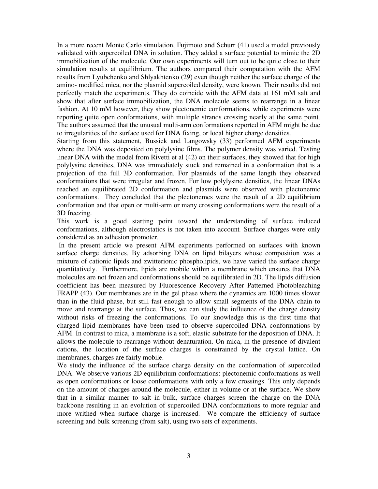In a more recent Monte Carlo simulation, Fujimoto and Schurr (41) used a model previously validated with supercoiled DNA in solution. They added a surface potential to mimic the 2D immobilization of the molecule. Our own experiments will turn out to be quite close to their simulation results at equilibrium. The authors compared their computation with the AFM results from Lyubchenko and Shlyakhtenko (29) even though neither the surface charge of the amino- modified mica, nor the plasmid supercoiled density, were known. Their results did not perfectly match the experiments. They do coincide with the AFM data at 161 mM salt and show that after surface immobilization, the DNA molecule seems to rearrange in a linear fashion. At 10 mM however, they show plectonemic conformations, while experiments were reporting quite open conformations, with multiple strands crossing nearly at the same point. The authors assumed that the unusual multi-arm conformations reported in AFM might be due to irregularities of the surface used for DNA fixing, or local higher charge densities.

Starting from this statement, Bussiek and Langowsky (33) performed AFM experiments where the DNA was deposited on polylysine films. The polymer density was varied. Testing linear DNA with the model from Rivetti et al (42) on their surfaces, they showed that for high polylysine densities, DNA was immediately stuck and remained in a conformation that is a projection of the full 3D conformation. For plasmids of the same length they observed conformations that were irregular and frozen. For low polylysine densities, the linear DNAs reached an equilibrated 2D conformation and plasmids were observed with plectonemic conformations. They concluded that the plectonemes were the result of a 2D equilibrium conformation and that open or multi-arm or many crossing conformations were the result of a 3D freezing.

This work is a good starting point toward the understanding of surface induced conformations, although electrostatics is not taken into account*.* Surface charges were only considered as an adhesion promoter.

In the present article we present AFM experiments performed on surfaces with known surface charge densities. By adsorbing DNA on lipid bilayers whose composition was a mixture of cationic lipids and zwitterionic phospholipids, we have varied the surface charge quantitatively. Furthermore, lipids are mobile within a membrane which ensures that DNA molecules are not frozen and conformations should be equilibrated in 2D. The lipids diffusion coefficient has been measured by Fluorescence Recovery After Patterned Photobleaching FRAPP (43). Our membranes are in the gel phase where the dynamics are 1000 times slower than in the fluid phase, but still fast enough to allow small segments of the DNA chain to move and rearrange at the surface. Thus, we can study the influence of the charge density without risks of freezing the conformations. To our knowledge this is the first time that charged lipid membranes have been used to observe supercoiled DNA conformations by AFM. In contrast to mica, a membrane is a soft, elastic substrate for the deposition of DNA. It allows the molecule to rearrange without denaturation. On mica, in the presence of divalent cations, the location of the surface charges is constrained by the crystal lattice. On membranes, charges are fairly mobile.

We study the influence of the surface charge density on the conformation of supercoiled DNA. We observe various 2D equilibrium conformations: plectonemic conformations as well as open conformations or loose conformations with only a few crossings. This only depends on the amount of charges around the molecule, either in volume or at the surface. We show that in a similar manner to salt in bulk, surface charges screen the charge on the DNA backbone resulting in an evolution of supercoiled DNA conformations to more regular and more writhed when surface charge is increased. We compare the efficiency of surface screening and bulk screening (from salt), using two sets of experiments.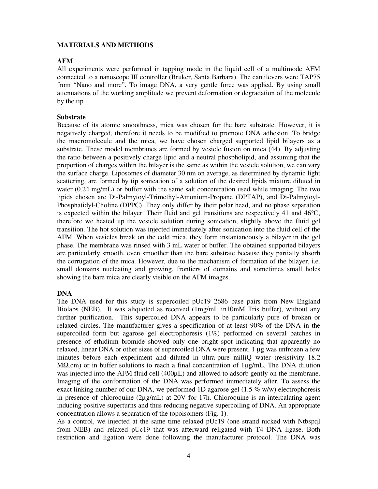# **MATERIALS AND METHODS**

# **AFM**

All experiments were performed in tapping mode in the liquid cell of a multimode AFM connected to a nanoscope III controller (Bruker, Santa Barbara). The cantilevers were TAP75 from "Nano and more". To image DNA, a very gentle force was applied. By using small attenuations of the working amplitude we prevent deformation or degradation of the molecule by the tip.

# **Substrate**

Because of its atomic smoothness, mica was chosen for the bare substrate. However, it is negatively charged, therefore it needs to be modified to promote DNA adhesion. To bridge the macromolecule and the mica, we have chosen charged supported lipid bilayers as a substrate. These model membranes are formed by vesicle fusion on mica (44). By adjusting the ratio between a positively charge lipid and a neutral phospholipid, and assuming that the proportion of charges within the bilayer is the same as within the vesicle solution, we can vary the surface charge. Liposomes of diameter 30 nm on average, as determined by dynamic light scattering, are formed by tip sonication of a solution of the desired lipids mixture diluted in water (0.24 mg/mL) or buffer with the same salt concentration used while imaging. The two lipids chosen are Di-Palmytoyl-Trimethyl-Amonium-Propane (DPTAP), and Di-Palmytoyl-Phosphatidyl-Choline (DPPC). They only differ by their polar head, and no phase separation is expected within the bilayer. Their fluid and gel transitions are respectively 41 and 46°C, therefore we heated up the vesicle solution during sonication, slightly above the fluid gel transition. The hot solution was injected immediately after sonication into the fluid cell of the AFM. When vesicles break on the cold mica, they form instantaneously a bilayer in the gel phase. The membrane was rinsed with 3 mL water or buffer. The obtained supported bilayers are particularly smooth, even smoother than the bare substrate because they partially absorb the corrugation of the mica. However, due to the mechanism of formation of the bilayer, i.e. small domains nucleating and growing, frontiers of domains and sometimes small holes showing the bare mica are clearly visible on the AFM images.

# **DNA**

The DNA used for this study is supercoiled pUc19 2686 base pairs from New England Biolabs (NEB). It was aliquoted as received (1mg/mL in10mM Tris buffer), without any further purification. This supercoiled DNA appears to be particularly pure of broken or relaxed circles. The manufacturer gives a specification of at least 90% of the DNA in the supercoiled form but agarose gel electrophoresis (1%) performed on several batches in presence of ethidium bromide showed only one bright spot indicating that apparently no relaxed, linear DNA or other sizes of supercoiled DNA were present. 1 µg was unfrozen a few minutes before each experiment and diluted in ultra-pure milliQ water (resistivity 18.2 MΩ.cm) or in buffer solutions to reach a final concentration of 1µg/mL. The DNA dilution was injected into the AFM fluid cell (400 $\mu$ L) and allowed to adsorb gently on the membrane. Imaging of the conformation of the DNA was performed immediately after. To assess the exact linking number of our DNA, we performed 1D agarose gel  $(1.5\%$  w/w) electrophoresis in presence of chloroquine (2µg/mL) at 20V for 17h. Chloroquine is an intercalating agent inducing positive superturns and thus reducing negative supercoiling of DNA. An appropriate concentration allows a separation of the topoisomers (Fig. 1).

As a control, we injected at the same time relaxed pUc19 (one strand nicked with NtbspqI from NEB) and relaxed pUc19 that was afterward religated with T4 DNA ligase. Both restriction and ligation were done following the manufacturer protocol. The DNA was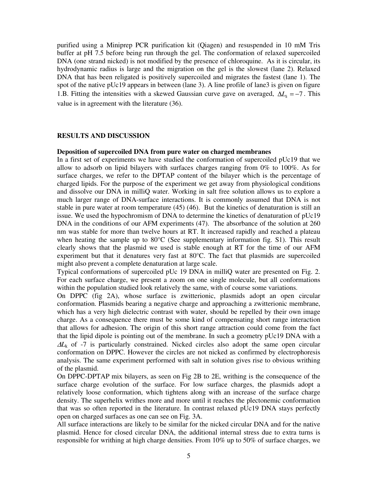purified using a Miniprep PCR purification kit (Qiagen) and resuspended in 10 mM Tris buffer at pH 7.5 before being run through the gel. The conformation of relaxed supercoiled DNA (one strand nicked) is not modified by the presence of chloroquine. As it is circular, its hydrodynamic radius is large and the migration on the gel is the slowest (lane 2). Relaxed DNA that has been religated is positively supercoiled and migrates the fastest (lane 1). The spot of the native pUc19 appears in between (lane 3). A line profile of lane3 is given on figure 1.B. Fitting the intensities with a skewed Gaussian curve gave on averaged,  $\Delta L_k = -7$ . This value is in agreement with the literature (36).

# **RESULTS AND DISCUSSION**

#### **Deposition of supercoiled DNA from pure water on charged membranes**

In a first set of experiments we have studied the conformation of supercoiled pUc19 that we allow to adsorb on lipid bilayers with surfaces charges ranging from 0% to 100%. As for surface charges, we refer to the DPTAP content of the bilayer which is the percentage of charged lipids. For the purpose of the experiment we get away from physiological conditions and dissolve our DNA in milliQ water. Working in salt free solution allows us to explore a much larger range of DNA-surface interactions. It is commonly assumed that DNA is not stable in pure water at room temperature (45) (46). But the kinetics of denaturation is still an issue. We used the hypochromism of DNA to determine the kinetics of denaturation of pUc19 DNA in the conditions of our AFM experiments (47). The absorbance of the solution at 260 nm was stable for more than twelve hours at RT. It increased rapidly and reached a plateau when heating the sample up to 80°C (See supplementary information fig. S1). This result clearly shows that the plasmid we used is stable enough at RT for the time of our AFM experiment but that it denatures very fast at 80°C. The fact that plasmids are supercoiled might also prevent a complete denaturation at large scale.

Typical conformations of supercoiled pUc 19 DNA in milliQ water are presented on Fig. 2. For each surface charge, we present a zoom on one single molecule, but all conformations within the population studied look relatively the same, with of course some variations.

On DPPC (fig 2A), whose surface is zwitterionic, plasmids adopt an open circular conformation. Plasmids bearing a negative charge and approaching a zwitterionic membrane, which has a very high dielectric contrast with water, should be repelled by their own image charge. As a consequence there must be some kind of compensating short range interaction that allows for adhesion. The origin of this short range attraction could come from the fact that the lipid dipole is pointing out of the membrane. In such a geometry pUc19 DNA with a <sup>∆</sup>*L*k of -7 is particularly constrained. Nicked circles also adopt the same open circular conformation on DPPC. However the circles are not nicked as confirmed by electrophoresis analysis. The same experiment performed with salt in solution gives rise to obvious writhing of the plasmid.

On DPPC-DPTAP mix bilayers, as seen on Fig 2B to 2E, writhing is the consequence of the surface charge evolution of the surface. For low surface charges, the plasmids adopt a relatively loose conformation, which tightens along with an increase of the surface charge density. The superhelix writhes more and more until it reaches the plectonemic conformation that was so often reported in the literature. In contrast relaxed pUc19 DNA stays perfectly open on charged surfaces as one can see on Fig. 3A.

All surface interactions are likely to be similar for the nicked circular DNA and for the native plasmid. Hence for closed circular DNA, the additional internal stress due to extra turns is responsible for writhing at high charge densities. From 10% up to 50% of surface charges, we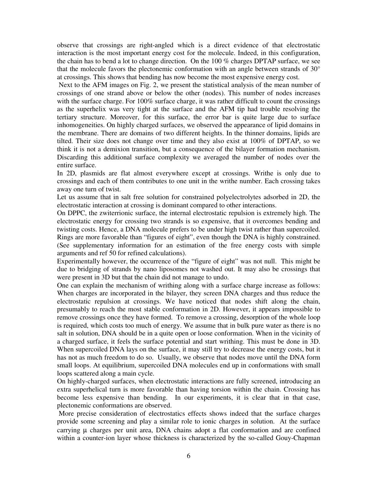observe that crossings are right-angled which is a direct evidence of that electrostatic interaction is the most important energy cost for the molecule. Indeed, in this configuration, the chain has to bend a lot to change direction. On the 100 % charges DPTAP surface, we see that the molecule favors the plectonemic conformation with an angle between strands of 30° at crossings. This shows that bending has now become the most expensive energy cost.

 Next to the AFM images on Fig. 2, we present the statistical analysis of the mean number of crossings of one strand above or below the other (nodes). This number of nodes increases with the surface charge. For 100% surface charge, it was rather difficult to count the crossings as the superhelix was very tight at the surface and the AFM tip had trouble resolving the tertiary structure. Moreover, for this surface, the error bar is quite large due to surface inhomogeneities. On highly charged surfaces, we observed the appearance of lipid domains in the membrane. There are domains of two different heights. In the thinner domains, lipids are tilted. Their size does not change over time and they also exist at 100% of DPTAP, so we think it is not a demixion transition, but a consequence of the bilayer formation mechanism. Discarding this additional surface complexity we averaged the number of nodes over the entire surface.

In 2D, plasmids are flat almost everywhere except at crossings. Writhe is only due to crossings and each of them contributes to one unit in the writhe number. Each crossing takes away one turn of twist.

Let us assume that in salt free solution for constrained polyelectrolytes adsorbed in 2D, the electrostatic interaction at crossing is dominant compared to other interactions.

On DPPC, the zwiterrionic surface, the internal electrostatic repulsion is extremely high. The electrostatic energy for crossing two strands is so expensive, that it overcomes bending and twisting costs. Hence, a DNA molecule prefers to be under high twist rather than supercoiled. Rings are more favorable than "figures of eight", even though the DNA is highly constrained. (See supplementary information for an estimation of the free energy costs with simple arguments and ref 50 for refined calculations).

Experimentally however, the occurrence of the "figure of eight" was not null. This might be due to bridging of strands by nano liposomes not washed out. It may also be crossings that were present in 3D but that the chain did not manage to undo.

One can explain the mechanism of writhing along with a surface charge increase as follows: When charges are incorporated in the bilayer, they screen DNA charges and thus reduce the electrostatic repulsion at crossings. We have noticed that nodes shift along the chain, presumably to reach the most stable conformation in 2D. However, it appears impossible to remove crossings once they have formed. To remove a crossing, desorption of the whole loop is required, which costs too much of energy. We assume that in bulk pure water as there is no salt in solution, DNA should be in a quite open or loose conformation. When in the vicinity of a charged surface, it feels the surface potential and start writhing. This must be done in 3D. When supercoiled DNA lays on the surface, it may still try to decrease the energy costs, but it has not as much freedom to do so. Usually, we observe that nodes move until the DNA form small loops. At equilibrium, supercoiled DNA molecules end up in conformations with small loops scattered along a main cycle.

On highly-charged surfaces, when electrostatic interactions are fully screened, introducing an extra superhelical turn is more favorable than having torsion within the chain. Crossing has become less expensive than bending. In our experiments, it is clear that in that case, plectonemic conformations are observed.

 More precise consideration of electrostatics effects shows indeed that the surface charges provide some screening and play a similar role to ionic charges in solution. At the surface carrying µ charges per unit area, DNA chains adopt a flat conformation and are confined within a counter-ion layer whose thickness is characterized by the so-called Gouy-Chapman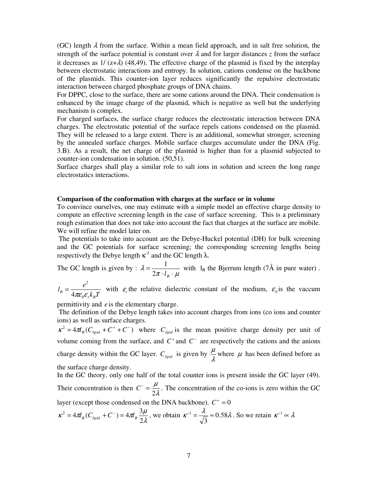(GC) length  $\lambda$  from the surface. Within a mean field approach, and in salt free solution, the strength of the surface potential is constant over  $\lambda$  and for larger distances  $\zeta$  from the surface it decreases as  $1/(z+\lambda)$  (48,49). The effective charge of the plasmid is fixed by the interplay between electrostatic interactions and entropy. In solution, cations condense on the backbone of the plasmids. This counter-ion layer reduces significantly the repulsive electrostatic interaction between charged phosphate groups of DNA chains.

For DPPC, close to the surface, there are some cations around the DNA. Their condensation is enhanced by the image charge of the plasmid, which is negative as well but the underlying mechanism is complex.

For charged surfaces, the surface charge reduces the electrostatic interaction between DNA charges. The electrostatic potential of the surface repels cations condensed on the plasmid. They will be released to a large extent. There is an additional, somewhat stronger, screening by the annealed surface charges. Mobile surface charges accumulate under the DNA (Fig. 3.B). As a result, the net charge of the plasmid is higher than for a plasmid subjected to counter-ion condensation in solution. (50,51).

Surface charges shall play a similar role to salt ions in solution and screen the long range electrostatics interactions.

#### **Comparison of the conformation with charges at the surface or in volume**

To convince ourselves, one may estimate with a simple model an effective charge density to compute an effective screening length in the case of surface screening. This is a preliminary rough estimation that does not take into account the fact that charges at the surface are mobile. We will refine the model later on.

 The potentials to take into account are the Debye-Huckel potential (DH) for bulk screening and the GC potentials for surface screening; the corresponding screening lengths being respectively the Debye length  $\kappa^1$  and the GC length  $\lambda$ .

The GC length is given by : 
$$
\lambda = \frac{1}{2\pi \cdot l_B \cdot \mu}
$$
 with  $l_B$  the Bjerrum length (7Å in pure water).

 $k_{B}T$  $l_B = \frac{e}{1}$ *r B*  $B = 4\pi \varepsilon_0 \varepsilon$ 2  $=\frac{\epsilon}{4\pi\epsilon_0\varepsilon_r k_B T}$  with  $\varepsilon_r$ , the relative dielectric constant of the medium,  $\varepsilon_0$  is the vaccum

permittivity and *e* is the elementary charge.

 The definition of the Debye length takes into account charges from ions (co ions and counter ions) as well as surface charges.

 $\kappa^2 = 4\pi l_B (C_{lipid} + C^+ + C^-)$  where  $C_{lipid}$  is the mean positive charge density per unit of volume coming from the surface, and  $C^+$  and  $C^-$  are respectively the cations and the anions charge density within the GC layer.  $C_{lipid}$  is given by  $\frac{\mu}{\lambda}$  $\frac{\mu}{\lambda}$  where  $\mu$  has been defined before as the surface charge density.

In the GC theory, only one half of the total counter ions is present inside the GC layer (49). Their concentration is then  $C^{-} = \frac{\mu}{2\lambda}$  $\mu$ 2  $C = \frac{\mu}{2a}$ . The concentration of the co-ions is zero within the GC layer (except those condensed on the DNA backbone).  $C^+ = 0$ 

$$
\kappa^2 = 4\pi l_B (C_{lipid} + C^-) = 4\pi l_B \frac{3\mu}{2\lambda}
$$
, we obtain  $\kappa^{-1} = \frac{\lambda}{\sqrt{3}} \approx 0.58\lambda$ . So we retain  $\kappa^{-1} \propto \lambda$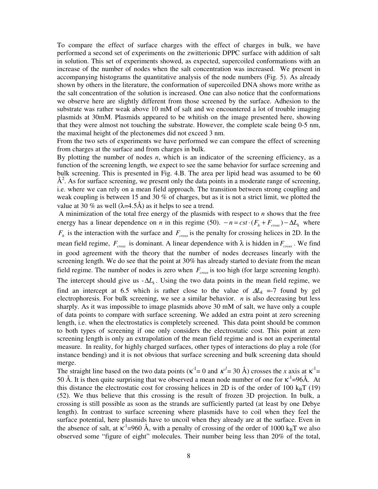To compare the effect of surface charges with the effect of charges in bulk, we have performed a second set of experiments on the zwitterionic DPPC surface with addition of salt in solution. This set of experiments showed, as expected, supercoiled conformations with an increase of the number of nodes when the salt concentration was increased. We present in accompanying histograms the quantitative analysis of the node numbers (Fig. 5). As already shown by others in the literature, the conformation of supercoiled DNA shows more writhe as the salt concentration of the solution is increased. One can also notice that the conformations we observe here are slightly different from those screened by the surface. Adhesion to the substrate was rather weak above 10 mM of salt and we encountered a lot of trouble imaging plasmids at 30mM. Plasmids appeared to be whitish on the image presented here, showing that they were almost not touching the substrate. However, the complete scale being 0-5 nm, the maximal height of the plectonemes did not exceed 3 nm.

From the two sets of experiments we have performed we can compare the effect of screening from charges at the surface and from charges in bulk.

By plotting the number of nodes *n*, which is an indicator of the screening efficiency, as a function of the screening length, we expect to see the same behavior for surface screening and bulk screening. This is presented in Fig. 4.B. The area per lipid head was assumed to be 60 Å<sup>2</sup>. As for surface screening, we present only the data points in a moderate range of screening, i.e. where we can rely on a mean field approach. The transition between strong coupling and weak coupling is between 15 and 30 % of charges, but as it is not a strict limit, we plotted the value at 30 % as well  $(\lambda=4.5\text{Å})$  as it helps to see a trend.

 A minimization of the total free energy of the plasmids with respect to *n* shows that the free energy has a linear dependence on *n* in this regime (50).  $-n = cst \cdot (F_h + F_{cross}) - \Delta L_k$  where  $F_h$  is the interaction with the surface and  $F_{cross}$  is the penalty for crossing helices in 2D. In the mean field regime,  $F_{cross}$  is dominant. A linear dependence with  $\lambda$  is hidden in  $F_{cross}$ . We find in good agreement with the theory that the number of nodes decreases linearly with the screening length. We do see that the point at 30% has already started to deviate from the mean field regime. The number of nodes is zero when *Fcross* is too high (for large screening length). The intercept should give us  $-\Delta L_k$ . Using the two data points in the mean field regime, we find an intercept at 6.5 which is rather close to the value of  $\Delta L_k$  =-7 found by gel electrophoresis. For bulk screening, we see a similar behavior. *n* is also decreasing but less sharply. As it was impossible to image plasmids above 30 mM of salt, we have only a couple of data points to compare with surface screening. We added an extra point at zero screening length, i.e. when the electrostatics is completely screened. This data point should be common to both types of screening if one only considers the electrostatic cost. This point at zero screening length is only an extrapolation of the mean field regime and is not an experimental measure. In reality, for highly charged surfaces, other types of interactions do play a role (for instance bending) and it is not obvious that surface screening and bulk screening data should merge.

The straight line based on the two data points ( $\kappa^{-1} = 0$  and  $\kappa^{-1} = 30$  Å) crosses the *x* axis at  $\kappa^{-1} =$ 50 Å. It is then quite surprising that we observed a mean node number of one for  $\kappa^{-1}$ =96Å. At this distance the electrostatic cost for crossing helices in 2D is of the order of 100  $k_BT$  (19) (52). We thus believe that this crossing is the result of frozen 3D projection. In bulk, a crossing is still possible as soon as the strands are sufficiently parted (at least by one Debye length). In contrast to surface screening where plasmids have to coil when they feel the surface potential, here plasmids have to uncoil when they already are at the surface. Even in the absence of salt, at  $\kappa^{-1}$ =960 Å, with a penalty of crossing of the order of 1000 k<sub>B</sub>T we also observed some "figure of eight" molecules. Their number being less than 20% of the total,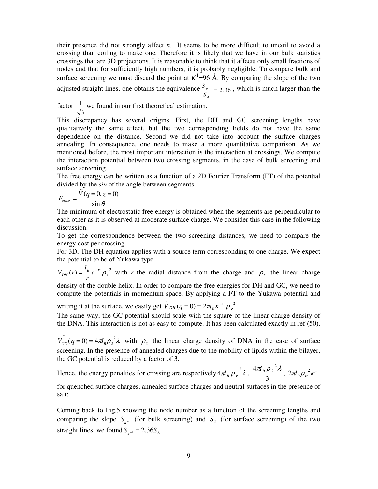their presence did not strongly affect *n*. It seems to be more difficult to uncoil to avoid a crossing than coiling to make one. Therefore it is likely that we have in our bulk statistics crossings that are 3D projections. It is reasonable to think that it affects only small fractions of nodes and that for sufficiently high numbers, it is probably negligible. To compare bulk and surface screening we must discard the point at  $\kappa^{-1}$ =96 Å. By comparing the slope of the two adjusted straight lines, one obtains the equivalence  $\frac{S_{x^{-1}}}{S_2} = 2.36$ κ *S*  $S_{k-1}$  = 2.36, which is much larger than the

factor 3  $\frac{1}{x}$  we found in our first theoretical estimation.

This discrepancy has several origins. First, the DH and GC screening lengths have qualitatively the same effect, but the two corresponding fields do not have the same dependence on the distance. Second we did not take into account the surface charges annealing. In consequence, one needs to make a more quantitative comparison. As we mentioned before, the most important interaction is the interaction at crossings. We compute the interaction potential between two crossing segments, in the case of bulk screening and surface screening.

The free energy can be written as a function of a 2D Fourier Transform (FT) of the potential divided by the *sin* of the angle between segments.

$$
F_{cross} = \frac{\tilde{V}(q=0, z=0)}{\sin \theta}
$$

The minimum of electrostatic free energy is obtained when the segments are perpendicular to each other as it is observed at moderate surface charge. We consider this case in the following discussion.

To get the correspondence between the two screening distances, we need to compare the energy cost per crossing.

For 3D, The DH equation applies with a source term corresponding to one charge. We expect the potential to be of Yukawa type.

 $L_{DH} (r) = \frac{l_B}{r} e^{-\kappa r} \rho_{\kappa}^{2}$  $V_{DH}(r) = \frac{l_B}{r} e^{-\kappa r} \rho_{\kappa}^2$  with *r* the radial distance from the charge and  $\rho_{\kappa}$  the linear charge density of the double helix. In order to compare the free energies for DH and GC, we need to

compute the potentials in momentum space. By applying a FT to the Yukawa potential and

writing it at the surface, we easily get  $\tilde{V}_{DH}(q=0) = 2\pi I_B \kappa^{-1} \rho_{\kappa}^2$ 

The same way, the GC potential should scale with the square of the linear charge density of the DNA. This interaction is not as easy to compute. It has been calculated exactly in ref (50).

 $\tilde{V}_{\alpha c} (q=0) = 4 \pi l_B \rho_{\lambda}^2 \lambda$  with  $\rho_{\lambda}$  the linear charge density of DNA in the case of surface screening. In the presence of annealed charges due to the mobility of lipids within the bilayer, the GC potential is reduced by a factor of 3.

Hence, the energy penalties for crossing are respectively  $4\pi l_B \overline{\rho_{\kappa}}^2 \lambda$ , 3  $\frac{4\pi l_B \overline{\rho}_{\lambda}^2 \lambda}{2}$ ,  $2\pi l_B {\rho_{\kappa}}^2 \kappa^{-1}$ 

for quenched surface charges, annealed surface charges and neutral surfaces in the presence of salt:

Coming back to Fig.5 showing the node number as a function of the screening lengths and comparing the slope  $S_{\kappa^{-1}}$  (for bulk screening) and  $S_{\lambda}$  (for surface screening) of the two straight lines, we found  $S_{K^{-1}} = 2.36 S_{\lambda}$ .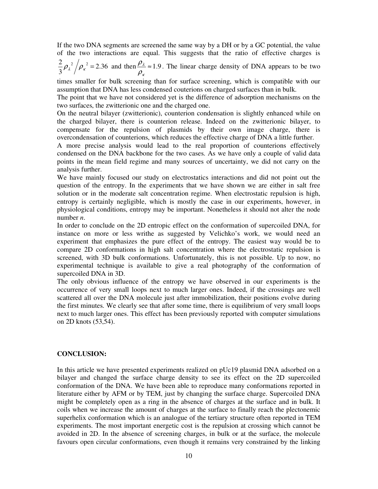If the two DNA segments are screened the same way by a DH or by a GC potential, the value of the two interactions are equal. This suggests that the ratio of effective charges is

$$
\frac{2}{3}\rho_{\lambda}^{2}/\rho_{\kappa}^{2} = 2.36
$$
 and then  $\frac{\rho_{\lambda}}{\rho_{\kappa}} \approx 1.9$ . The linear charge density of DNA appears to be two

times smaller for bulk screening than for surface screening, which is compatible with our assumption that DNA has less condensed couterions on charged surfaces than in bulk.

The point that we have not considered yet is the difference of adsorption mechanisms on the two surfaces, the zwitterionic one and the charged one.

On the neutral bilayer (zwitterionic), counterion condensation is slightly enhanced while on the charged bilayer, there is counterion release. Indeed on the zwitterionic bilayer, to compensate for the repulsion of plasmids by their own image charge, there is overcondensation of counterions, which reduces the effective charge of DNA a little further.

A more precise analysis would lead to the real proportion of counterions effectively condensed on the DNA backbone for the two cases. As we have only a couple of valid data points in the mean field regime and many sources of uncertainty, we did not carry on the analysis further.

We have mainly focused our study on electrostatics interactions and did not point out the question of the entropy. In the experiments that we have shown we are either in salt free solution or in the moderate salt concentration regime. When electrostatic repulsion is high, entropy is certainly negligible, which is mostly the case in our experiments, however, in physiological conditions, entropy may be important. Nonetheless it should not alter the node number *n*.

In order to conclude on the 2D entropic effect on the conformation of supercoiled DNA, for instance on more or less writhe as suggested by Velichko's work, we would need an experiment that emphasizes the pure effect of the entropy. The easiest way would be to compare 2D conformations in high salt concentration where the electrostatic repulsion is screened, with 3D bulk conformations. Unfortunately, this is not possible. Up to now, no experimental technique is available to give a real photography of the conformation of supercoiled DNA in 3D.

The only obvious influence of the entropy we have observed in our experiments is the occurrence of very small loops next to much larger ones. Indeed, if the crossings are well scattered all over the DNA molecule just after immobilization, their positions evolve during the first minutes. We clearly see that after some time, there is equilibrium of very small loops next to much larger ones. This effect has been previously reported with computer simulations on 2D knots (53,54).

## **CONCLUSION:**

In this article we have presented experiments realized on pUc19 plasmid DNA adsorbed on a bilayer and changed the surface charge density to see its effect on the 2D supercoiled conformation of the DNA. We have been able to reproduce many conformations reported in literature either by AFM or by TEM, just by changing the surface charge. Supercoiled DNA might be completely open as a ring in the absence of charges at the surface and in bulk. It coils when we increase the amount of charges at the surface to finally reach the plectonemic superhelix conformation which is an analogue of the tertiary structure often reported in TEM experiments. The most important energetic cost is the repulsion at crossing which cannot be avoided in 2D. In the absence of screening charges, in bulk or at the surface, the molecule favours open circular conformations, even though it remains very constrained by the linking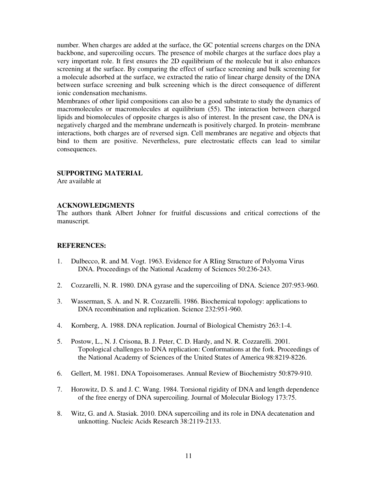number. When charges are added at the surface, the GC potential screens charges on the DNA backbone, and supercoiling occurs. The presence of mobile charges at the surface does play a very important role. It first ensures the 2D equilibrium of the molecule but it also enhances screening at the surface. By comparing the effect of surface screening and bulk screening for a molecule adsorbed at the surface, we extracted the ratio of linear charge density of the DNA between surface screening and bulk screening which is the direct consequence of different ionic condensation mechanisms.

Membranes of other lipid compositions can also be a good substrate to study the dynamics of macromolecules or macromolecules at equilibrium (55). The interaction between charged lipids and biomolecules of opposite charges is also of interest. In the present case, the DNA is negatively charged and the membrane underneath is positively charged. In protein- membrane interactions, both charges are of reversed sign. Cell membranes are negative and objects that bind to them are positive. Nevertheless, pure electrostatic effects can lead to similar consequences.

## **SUPPORTING MATERIAL**

Are available at

## **ACKNOWLEDGMENTS**

The authors thank Albert Johner for fruitful discussions and critical corrections of the manuscript.

# **REFERENCES:**

- 1. Dulbecco, R. and M. Vogt. 1963. Evidence for A RIing Structure of Polyoma Virus DNA. Proceedings of the National Academy of Sciences 50:236-243.
- 2. Cozzarelli, N. R. 1980. DNA gyrase and the supercoiling of DNA. Science 207:953-960.
- 3. Wasserman, S. A. and N. R. Cozzarelli. 1986. Biochemical topology: applications to DNA recombination and replication. Science 232:951-960.
- 4. Kornberg, A. 1988. DNA replication. Journal of Biological Chemistry 263:1-4.
- 5. Postow, L., N. J. Crisona, B. J. Peter, C. D. Hardy, and N. R. Cozzarelli. 2001. Topological challenges to DNA replication: Conformations at the fork. Proceedings of the National Academy of Sciences of the United States of America 98:8219-8226.
- 6. Gellert, M. 1981. DNA Topoisomerases. Annual Review of Biochemistry 50:879-910.
- 7. Horowitz, D. S. and J. C. Wang. 1984. Torsional rigidity of DNA and length dependence of the free energy of DNA supercoiling. Journal of Molecular Biology 173:75.
- 8. Witz, G. and A. Stasiak. 2010. DNA supercoiling and its role in DNA decatenation and unknotting. Nucleic Acids Research 38:2119-2133.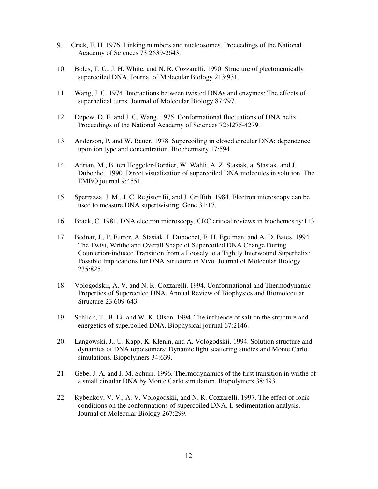- 9. Crick, F. H. 1976. Linking numbers and nucleosomes. Proceedings of the National Academy of Sciences 73:2639-2643.
- 10. Boles, T. C., J. H. White, and N. R. Cozzarelli. 1990. Structure of plectonemically supercoiled DNA. Journal of Molecular Biology 213:931.
- 11. Wang, J. C. 1974. Interactions between twisted DNAs and enzymes: The effects of superhelical turns. Journal of Molecular Biology 87:797.
- 12. Depew, D. E. and J. C. Wang. 1975. Conformational fluctuations of DNA helix. Proceedings of the National Academy of Sciences 72:4275-4279.
- 13. Anderson, P. and W. Bauer. 1978. Supercoiling in closed circular DNA: dependence upon ion type and concentration. Biochemistry 17:594.
- 14. Adrian, M., B. ten Heggeler-Bordier, W. Wahli, A. Z. Stasiak, a. Stasiak, and J. Dubochet. 1990. Direct visualization of supercoiled DNA molecules in solution. The EMBO journal 9:4551.
- 15. Sperrazza, J. M., J. C. Register Iii, and J. Griffith. 1984. Electron microscopy can be used to measure DNA supertwisting. Gene 31:17.
- 16. Brack, C. 1981. DNA electron microscopy. CRC critical reviews in biochemestry:113.
- 17. Bednar, J., P. Furrer, A. Stasiak, J. Dubochet, E. H. Egelman, and A. D. Bates. 1994. The Twist, Writhe and Overall Shape of Supercoiled DNA Change During Counterion-induced Transition from a Loosely to a Tightly Interwound Superhelix: Possible Implications for DNA Structure in Vivo. Journal of Molecular Biology 235:825.
- 18. Vologodskii, A. V. and N. R. Cozzarelli. 1994. Conformational and Thermodynamic Properties of Supercoiled DNA. Annual Review of Biophysics and Biomolecular Structure 23:609-643.
- 19. Schlick, T., B. Li, and W. K. Olson. 1994. The influence of salt on the structure and energetics of supercoiled DNA. Biophysical journal 67:2146.
- 20. Langowski, J., U. Kapp, K. Klenin, and A. Vologodskii. 1994. Solution structure and dynamics of DNA topoisomers: Dynamic light scattering studies and Monte Carlo simulations. Biopolymers 34:639.
- 21. Gebe, J. A. and J. M. Schurr. 1996. Thermodynamics of the first transition in writhe of a small circular DNA by Monte Carlo simulation. Biopolymers 38:493.
- 22. Rybenkov, V. V., A. V. Vologodskii, and N. R. Cozzarelli. 1997. The effect of ionic conditions on the conformations of supercoiled DNA. I. sedimentation analysis. Journal of Molecular Biology 267:299.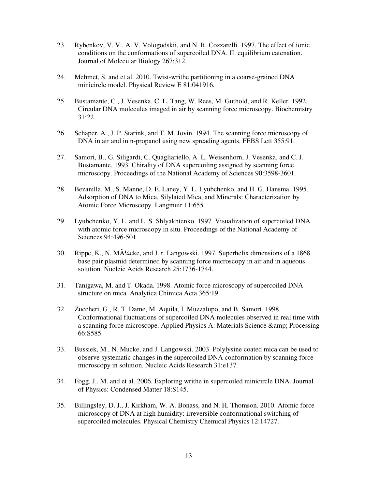- 23. Rybenkov, V. V., A. V. Vologodskii, and N. R. Cozzarelli. 1997. The effect of ionic conditions on the conformations of supercoiled DNA. II. equilibrium catenation. Journal of Molecular Biology 267:312.
- 24. Mehmet, S. and et al. 2010. Twist-writhe partitioning in a coarse-grained DNA minicircle model. Physical Review E 81:041916.
- 25. Bustamante, C., J. Vesenka, C. L. Tang, W. Rees, M. Guthold, and R. Keller. 1992. Circular DNA molecules imaged in air by scanning force microscopy. Biochemistry 31:22.
- 26. Schaper, A., J. P. Starink, and T. M. Jovin. 1994. The scanning force microscopy of DNA in air and in n-propanol using new spreading agents. FEBS Lett 355:91.
- 27. Samori, B., G. Siligardi, C. Quagliariello, A. L. Weisenhorn, J. Vesenka, and C. J. Bustamante. 1993. Chirality of DNA supercoiling assigned by scanning force microscopy. Proceedings of the National Academy of Sciences 90:3598-3601.
- 28. Bezanilla, M., S. Manne, D. E. Laney, Y. L. Lyubchenko, and H. G. Hansma. 1995. Adsorption of DNA to Mica, Silylated Mica, and Minerals: Characterization by Atomic Force Microscopy. Langmuir 11:655.
- 29. Lyubchenko, Y. L. and L. S. Shlyakhtenko. 1997. Visualization of supercoiled DNA with atomic force microscopy in situ. Proceedings of the National Academy of Sciences 94:496-501.
- 30. Rippe, K., N. M $\tilde{A}^{1/4}$ cke, and J. r. Langowski. 1997. Superhelix dimensions of a 1868 base pair plasmid determined by scanning force microscopy in air and in aqueous solution. Nucleic Acids Research 25:1736-1744.
- 31. Tanigawa, M. and T. Okada. 1998. Atomic force microscopy of supercoiled DNA structure on mica. Analytica Chimica Acta 365:19.
- 32. Zuccheri, G., R. T. Dame, M. Aquila, I. Muzzalupo, and B. Samorì. 1998. Conformational fluctuations of supercoiled DNA molecules observed in real time with a scanning force microscope. Applied Physics A: Materials Science & amp; Processing 66:S585.
- 33. Bussiek, M., N. Mucke, and J. Langowski. 2003. Polylysine coated mica can be used to observe systematic changes in the supercoiled DNA conformation by scanning force microscopy in solution. Nucleic Acids Research 31:e137.
- 34. Fogg, J., M. and et al. 2006. Exploring writhe in supercoiled minicircle DNA. Journal of Physics: Condensed Matter 18:S145.
- 35. Billingsley, D. J., J. Kirkham, W. A. Bonass, and N. H. Thomson. 2010. Atomic force microscopy of DNA at high humidity: irreversible conformational switching of supercoiled molecules. Physical Chemistry Chemical Physics 12:14727.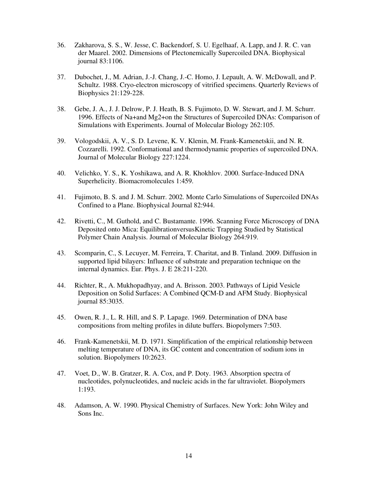- 36. Zakharova, S. S., W. Jesse, C. Backendorf, S. U. Egelhaaf, A. Lapp, and J. R. C. van der Maarel. 2002. Dimensions of Plectonemically Supercoiled DNA. Biophysical journal 83:1106.
- 37. Dubochet, J., M. Adrian, J.-J. Chang, J.-C. Homo, J. Lepault, A. W. McDowall, and P. Schultz. 1988. Cryo-electron microscopy of vitrified specimens. Quarterly Reviews of Biophysics 21:129-228.
- 38. Gebe, J. A., J. J. Delrow, P. J. Heath, B. S. Fujimoto, D. W. Stewart, and J. M. Schurr. 1996. Effects of Na+and Mg2+on the Structures of Supercoiled DNAs: Comparison of Simulations with Experiments. Journal of Molecular Biology 262:105.
- 39. Vologodskii, A. V., S. D. Levene, K. V. Klenin, M. Frank-Kamenetskii, and N. R. Cozzarelli. 1992. Conformational and thermodynamic properties of supercoiled DNA. Journal of Molecular Biology 227:1224.
- 40. Velichko, Y. S., K. Yoshikawa, and A. R. Khokhlov. 2000. Surface-Induced DNA Superhelicity. Biomacromolecules 1:459.
- 41. Fujimoto, B. S. and J. M. Schurr. 2002. Monte Carlo Simulations of Supercoiled DNAs Confined to a Plane. Biophysical Journal 82:944.
- 42. Rivetti, C., M. Guthold, and C. Bustamante. 1996. Scanning Force Microscopy of DNA Deposited onto Mica: EquilibrationversusKinetic Trapping Studied by Statistical Polymer Chain Analysis. Journal of Molecular Biology 264:919.
- 43. Scomparin, C., S. Lecuyer, M. Ferreira, T. Charitat, and B. Tinland. 2009. Diffusion in supported lipid bilayers: Influence of substrate and preparation technique on the internal dynamics. Eur. Phys. J. E 28:211-220.
- 44. Richter, R., A. Mukhopadhyay, and A. Brisson. 2003. Pathways of Lipid Vesicle Deposition on Solid Surfaces: A Combined QCM-D and AFM Study. Biophysical journal 85:3035.
- 45. Owen, R. J., L. R. Hill, and S. P. Lapage. 1969. Determination of DNA base compositions from melting profiles in dilute buffers. Biopolymers 7:503.
- 46. Frank-Kamenetskii, M. D. 1971. Simplification of the empirical relationship between melting temperature of DNA, its GC content and concentration of sodium ions in solution. Biopolymers 10:2623.
- 47. Voet, D., W. B. Gratzer, R. A. Cox, and P. Doty. 1963. Absorption spectra of nucleotides, polynucleotides, and nucleic acids in the far ultraviolet. Biopolymers 1:193.
- 48. Adamson, A. W. 1990. Physical Chemistry of Surfaces. New York: John Wiley and Sons Inc.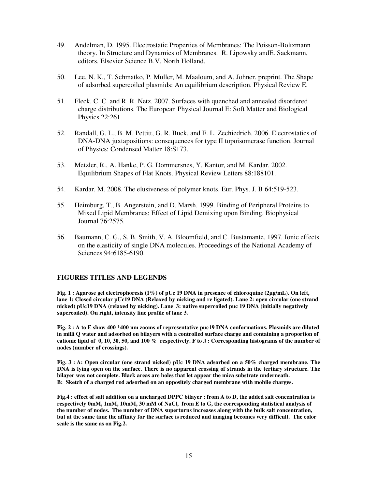- 49. Andelman, D. 1995. Electrostatic Properties of Membranes: The Poisson-Boltzmann theory. In Structure and Dynamics of Membranes. R. Lipowsky andE. Sackmann, editors. Elsevier Science B.V. North Holland.
- 50. Lee, N. K., T. Schmatko, P. Muller, M. Maaloum, and A. Johner. preprint. The Shape of adsorbed supercoiled plasmids: An equilibrium description. Physical Review E.
- 51. Fleck, C. C. and R. R. Netz. 2007. Surfaces with quenched and annealed disordered charge distributions. The European Physical Journal E: Soft Matter and Biological Physics 22:261.
- 52. Randall, G. L., B. M. Pettitt, G. R. Buck, and E. L. Zechiedrich. 2006. Electrostatics of DNA-DNA juxtapositions: consequences for type II topoisomerase function. Journal of Physics: Condensed Matter 18:S173.
- 53. Metzler, R., A. Hanke, P. G. Dommersnes, Y. Kantor, and M. Kardar. 2002. Equilibrium Shapes of Flat Knots. Physical Review Letters 88:188101.
- 54. Kardar, M. 2008. The elusiveness of polymer knots. Eur. Phys. J. B 64:519-523.
- 55. Heimburg, T., B. Angerstein, and D. Marsh. 1999. Binding of Peripheral Proteins to Mixed Lipid Membranes: Effect of Lipid Demixing upon Binding. Biophysical Journal 76:2575.
- 56. Baumann, C. G., S. B. Smith, V. A. Bloomfield, and C. Bustamante. 1997. Ionic effects on the elasticity of single DNA molecules. Proceedings of the National Academy of Sciences 94:6185-6190.

## **FIGURES TITLES AND LEGENDS**

**Fig. 1 : Agarose gel electrophoresis (1%) of pUc 19 DNA in presence of chloroquine (2µg/mL). On left, lane 1: Closed circular pUc19 DNA (Relaxed by nicking and re ligated). Lane 2: open circular (one strand nicked) pUc19 DNA (relaxed by nicking). Lane 3: native supercoiled puc 19 DNA (initially negatively supercoiled). On right, intensity line profile of lane 3.** 

**Fig. 2 : A to E show 400 \*400 nm zooms of representative puc19 DNA conformations. Plasmids are diluted in milli Q water and adsorbed on bilayers with a controlled surface charge and containing a proportion of cationic lipid of 0, 10, 30, 50, and 100 % respectively. F to J : Corresponding histograms of the number of nodes (number of crossings).** 

**Fig. 3 : A: Open circular (one strand nicked) pUc 19 DNA adsorbed on a 50% charged membrane. The DNA is lying open on the surface. There is no apparent crossing of strands in the tertiary structure. The bilayer was not complete. Black areas are holes that let appear the mica substrate underneath. B: Sketch of a charged rod adsorbed on an oppositely charged membrane with mobile charges.** 

**Fig.4 : effect of salt addition on a uncharged DPPC bilayer : from A to D, the added salt concentration is respectively 0mM, 1mM, 10mM, 30 mM of NaCl, from E to G, the corresponding statistical analysis of the number of nodes. The number of DNA superturns increases along with the bulk salt concentration, but at the same time the affinity for the surface is reduced and imaging becomes very difficult. The color scale is the same as on Fig.2.**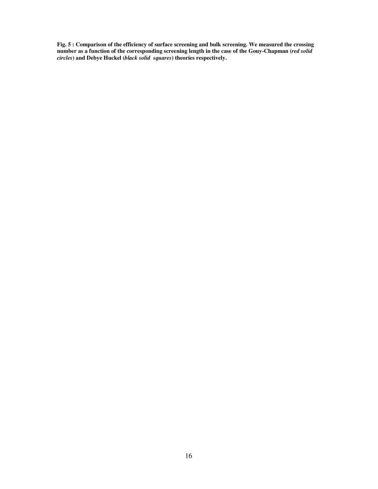**Fig. 5 : Comparison of the efficiency of surface screening and bulk screening. We measured the crossing number as a function of the corresponding screening length in the case of the Gouy-Chapman (***red solid circles***) and Debye Huckel (***black solid squares***) theories respectively.**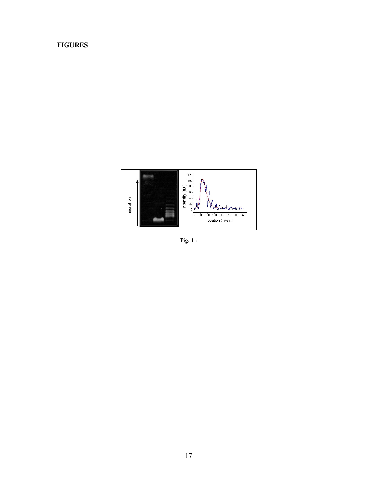# **FIGURES**



**Fig. 1 :**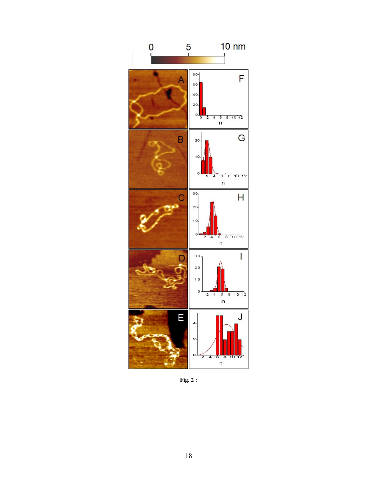

**Fig. 2 :**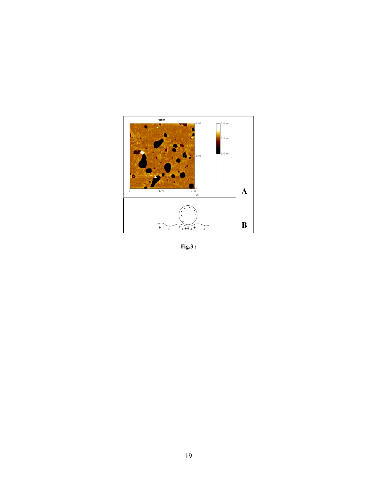

 $Fig.3:$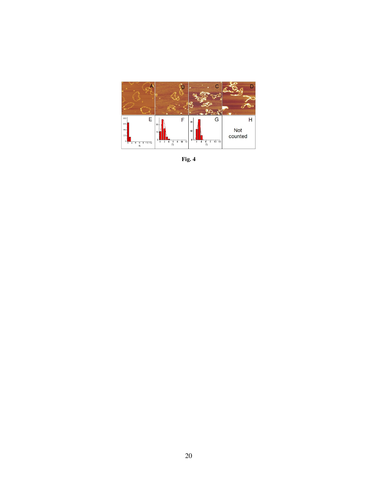

**Fig. 4**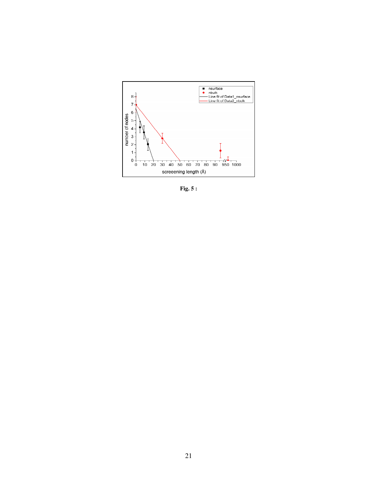

 **Fig. 5 :**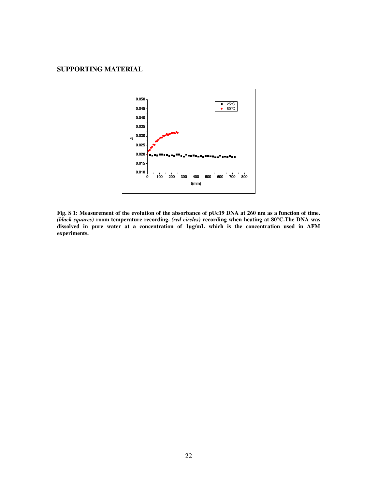# **SUPPORTING MATERIAL**



**Fig. S 1: Measurement of the evolution of the absorbance of pUc19 DNA at 260 nm as a function of time.** *(black squares)* **room temperature recording.** *(red circles)* **recording when heating at 80°C.The DNA was dissolved in pure water at a concentration of 1µg/mL which is the concentration used in AFM experiments.**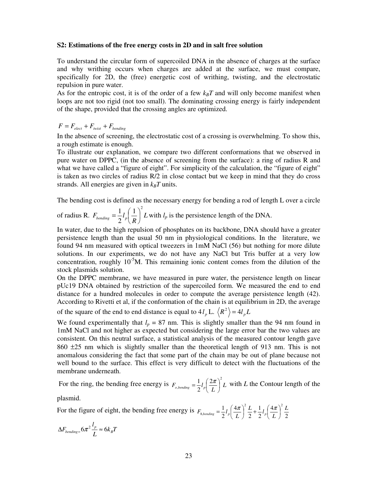### **S2: Estimations of the free energy costs in 2D and in salt free solution**

To understand the circular form of supercoiled DNA in the absence of charges at the surface and why writhing occurs when charges are added at the surface, we must compare, specifically for 2D, the (free) energetic cost of writhing, twisting, and the electrostatic repulsion in pure water.

As for the entropic cost, it is of the order of a few  $k_B T$  and will only become manifest when loops are not too rigid (not too small). The dominating crossing energy is fairly independent of the shape, provided that the crossing angles are optimized.

 $F = F_{elect} + F_{twist} + F_{bending}$ 

In the absence of screening, the electrostatic cost of a crossing is overwhelming. To show this, a rough estimate is enough.

To illustrate our explanation, we compare two different conformations that we observed in pure water on DPPC, (in the absence of screening from the surface): a ring of radius R and what we have called a "figure of eight". For simplicity of the calculation, the "figure of eight" is taken as two circles of radius R/2 in close contact but we keep in mind that they do cross strands. All energies are given in  $k_B T$  units.

The bending cost is defined as the necessary energy for bending a rod of length L over a circle

of radius R. 
$$
F_{bending} = \frac{1}{2} l_p \left(\frac{1}{R}\right)^2 L
$$
 with  $l_p$  is the persistence length of the DNA.

In water, due to the high repulsion of phosphates on its backbone, DNA should have a greater persistence length than the usual 50 nm in physiological conditions. In the literature, we found 94 nm measured with optical tweezers in 1mM NaCl (56) but nothing for more dilute solutions. In our experiments, we do not have any NaCl but Tris buffer at a very low concentration, roughly  $10^{-5}M$ . This remaining ionic content comes from the dilution of the stock plasmids solution.

On the DPPC membrane, we have measured in pure water, the persistence length on linear pUc19 DNA obtained by restriction of the supercoiled form. We measured the end to end distance for a hundred molecules in order to compute the average persistence length (42). According to Rivetti et al, if the conformation of the chain is at equilibrium in 2D, the average of the square of the end to end distance is equal to  $4l_p$  L.  $\langle R^2 \rangle = 4l_p L$ 

We found experimentally that  $l_p = 87$  nm. This is slightly smaller than the 94 nm found in 1mM NaCl and not higher as expected but considering the large error bar the two values are consistent. On this neutral surface, a statistical analysis of the measured contour length gave 860 ±25 nm which is slightly smaller than the theoretical length of 913 nm. This is not anomalous considering the fact that some part of the chain may be out of plane because not well bound to the surface. This effect is very difficult to detect with the fluctuations of the membrane underneath.

For the ring, the bending free energy is  $F_{o,bending} = \frac{1}{2}l_p \left(\frac{2\pi}{L}\right)L$ 2  $_{,bending} = \frac{1}{2} l_p \left( \frac{2}{2} \right)$ 2  $\frac{1}{2}l_p\left(\frac{2\pi}{L}\right)$  $\left(\frac{2\pi}{L}\right)$  $=\frac{1}{2}l_n\left(\frac{2\pi}{l}\right)^2L$  with *L* the Contour length of the

plasmid.

For the figure of eight, the bending free energy is 2 4 2 1 2 4 2  $1, (4\pi)^2 L, 1, (4\pi)^2$  $\frac{1}{8,bending} = \frac{1}{2}l_p \left(\frac{4\pi}{L}\right)^2 \frac{L}{2} + \frac{1}{2}l_p \left(\frac{4\pi}{L}\right)^2 \frac{L}{2}$  $\frac{L}{2} + \frac{1}{2}l_p \left( \frac{4\pi}{L} \right)$  $F_{8, bending} = \frac{1}{2}l_p \left( \frac{4\pi}{L} \right) \left( \frac{2\pi}{2} + \frac{1}{2}l_p \left( \frac{4\pi}{L} \right) \right)$  $\left(\frac{4\pi}{L}\right)$  $\frac{2}{2} + \frac{1}{2} l_{p}$  $\left(\frac{4\pi}{L}\right)$  $=\frac{1}{2}l_{n}\left(\frac{4\pi}{I}\right)^{2}\frac{L}{2}+\frac{1}{2}l_{n}\left(\frac{4\pi}{I}\right)$ 

 $k_{B}T$ *L*  $\Delta F_{bending} = 6\pi^2 \frac{l_p}{I} \approx 6k_B$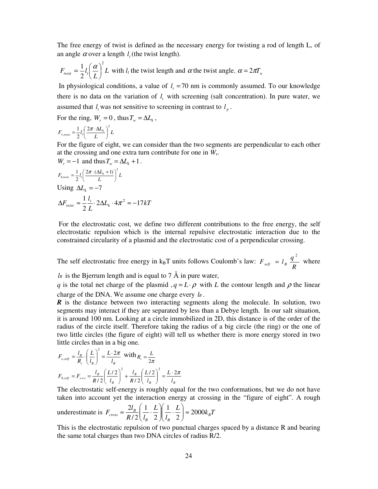The free energy of twist is defined as the necessary energy for twisting a rod of length L, of an angle  $\alpha$  over a length  $l_i$  (the twist length).

$$
F_{\text{wist}} = \frac{1}{2} l_i \left(\frac{\alpha}{L}\right)^2 L \text{ with } l_t \text{ the twist length and } \alpha \text{ the twist angle. } \alpha = 2\pi T_w
$$

In physiological conditions, a value of  $l<sub>t</sub> = 70$  nm is commonly assumed. To our knowledge there is no data on the variation of  $l<sub>i</sub>$  with screening (salt concentration). In pure water, we assumed that  $l_i$  was not sensitive to screening in contrast to  $l_p$ .

For the ring,  $W_r = 0$ , thus  $T_w = \Delta L_k$ ,

$$
F_{o,twist} = \frac{1}{2} l_i \left( \frac{2\pi \cdot \Delta L_k}{L} \right)^2 L
$$

For the figure of eight, we can consider than the two segments are perpendicular to each other at the crossing and one extra turn contribute for one in *Wr*.

$$
W_r = -1 \text{ and thus } T_w = \Delta L_k + 1.
$$
  
\n
$$
F_{\text{g},\text{wist}} = \frac{1}{2} l_i \left( \frac{2\pi \cdot (\Delta L_k + 1)}{L} \right)^2 L
$$
  
\nUsing  $\Delta L_k = -7$   
\n
$$
\Delta F_{\text{wist}} \approx \frac{1}{2} \frac{l_i}{L} \cdot 2\Delta L_k \cdot 4\pi^2 \approx -17kT
$$

 For the electrostatic cost, we define two different contributions to the free energy, the self electrostatic repulsion which is the internal repulsive electrostatic interaction due to the constrained circularity of a plasmid and the electrostatic cost of a perpendicular crossing.

The self electrostatic free energy in  $k_BT$  units follows Coulomb's law: *R*  $F_{\text{self}} = l_B \frac{q}{q}$  $= l_B \frac{q^2}{R}$  where

 $l$ *B* is the Bjerrum length and is equal to 7 Å in pure water,

*q* is the total net charge of the plasmid ,  $q = L \cdot \rho$  with *L* the contour length and  $\rho$  the linear charge of the DNA. We assume one charge every *l<sup>B</sup>* .

*R* is the distance between two interacting segments along the molecule. In solution, two segments may interact if they are separated by less than a Debye length. In our salt situation, it is around 100 nm. Looking at a circle immobilized in 2D, this distance is of the order of the radius of the circle itself. Therefore taking the radius of a big circle (the ring) or the one of two little circles (the figure of eight) will tell us whether there is more energy stored in two little circles than in a big one.

$$
F_{o,self} = \frac{l_B}{R_c} \cdot \left(\frac{L}{l_B}\right)^2 = \frac{L \cdot 2\pi}{l_B} \text{ with } R_c = \frac{L}{2\pi}
$$
  

$$
F_{8, self} = F_{o+o} = \frac{l_B}{R/2} \left(\frac{L/2}{l_B}\right)^2 + \frac{l_B}{R/2} \left(\frac{L/2}{l_B}\right)^2 = \frac{L \cdot 2\pi}{l_B}
$$

The electrostatic self-energy is roughly equal for the two conformations, but we do not have taken into account yet the interaction energy at crossing in the "figure of eight". A rough

underestimate is 
$$
F_{cross} \approx \frac{2l_B}{R/2} \left( \frac{1}{l_B} \cdot \frac{L}{2} \right) \left( \frac{1}{l_B} \cdot \frac{L}{2} \right) \approx 2000 k_B T
$$

This is the electrostatic repulsion of two punctual charges spaced by a distance R and bearing the same total charges than two DNA circles of radius R/2.